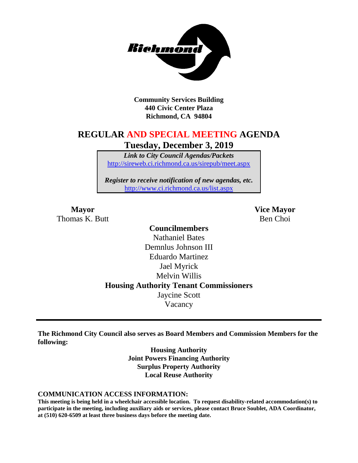

**Community Services Building 440 Civic Center Plaza Richmond, CA 94804**

## **REGULAR AND SPECIAL MEETING AGENDA Tuesday, December 3, 2019**

*Link to City Council Agendas/Packets* <http://sireweb.ci.richmond.ca.us/sirepub/meet.aspx>

*Register to receive notification of new agendas, etc.* <http://www.ci.richmond.ca.us/list.aspx>

Thomas K. Butt Ben Choi

**Mayor Vice Mayor**

**Councilmembers** Nathaniel Bates Demnlus Johnson III Eduardo Martinez Jael Myrick Melvin Willis **Housing Authority Tenant Commissioners** Jaycine Scott Vacancy

**The Richmond City Council also serves as Board Members and Commission Members for the following:**

> **Housing Authority Joint Powers Financing Authority Surplus Property Authority Local Reuse Authority**

#### **COMMUNICATION ACCESS INFORMATION:**

**This meeting is being held in a wheelchair accessible location. To request disability-related accommodation(s) to participate in the meeting, including auxiliary aids or services, please contact Bruce Soublet, ADA Coordinator, at (510) 620-6509 at least three business days before the meeting date.**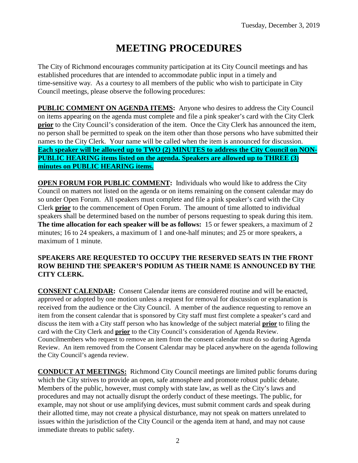# **MEETING PROCEDURES**

The City of Richmond encourages community participation at its City Council meetings and has established procedures that are intended to accommodate public input in a timely and time-sensitive way. As a courtesy to all members of the public who wish to participate in City Council meetings, please observe the following procedures:

**PUBLIC COMMENT ON AGENDA ITEMS:** Anyone who desires to address the City Council on items appearing on the agenda must complete and file a pink speaker's card with the City Clerk **prior** to the City Council's consideration of the item. Once the City Clerk has announced the item, no person shall be permitted to speak on the item other than those persons who have submitted their names to the City Clerk. Your name will be called when the item is announced for discussion. **Each speaker will be allowed up to TWO (2) MINUTES to address the City Council on NON-PUBLIC HEARING items listed on the agenda. Speakers are allowed up to THREE (3) minutes on PUBLIC HEARING items.**

**OPEN FORUM FOR PUBLIC COMMENT:** Individuals who would like to address the City Council on matters not listed on the agenda or on items remaining on the consent calendar may do so under Open Forum. All speakers must complete and file a pink speaker's card with the City Clerk **prior** to the commencement of Open Forum. The amount of time allotted to individual speakers shall be determined based on the number of persons requesting to speak during this item. **The time allocation for each speaker will be as follows:** 15 or fewer speakers, a maximum of 2 minutes; 16 to 24 speakers, a maximum of 1 and one-half minutes; and 25 or more speakers, a maximum of 1 minute.

### **SPEAKERS ARE REQUESTED TO OCCUPY THE RESERVED SEATS IN THE FRONT ROW BEHIND THE SPEAKER'S PODIUM AS THEIR NAME IS ANNOUNCED BY THE CITY CLERK.**

**CONSENT CALENDAR:** Consent Calendar items are considered routine and will be enacted, approved or adopted by one motion unless a request for removal for discussion or explanation is received from the audience or the City Council. A member of the audience requesting to remove an item from the consent calendar that is sponsored by City staff must first complete a speaker's card and discuss the item with a City staff person who has knowledge of the subject material **prior** to filing the card with the City Clerk and **prior** to the City Council's consideration of Agenda Review. Councilmembers who request to remove an item from the consent calendar must do so during Agenda Review. An item removed from the Consent Calendar may be placed anywhere on the agenda following the City Council's agenda review.

**CONDUCT AT MEETINGS:** Richmond City Council meetings are limited public forums during which the City strives to provide an open, safe atmosphere and promote robust public debate. Members of the public, however, must comply with state law, as well as the City's laws and procedures and may not actually disrupt the orderly conduct of these meetings. The public, for example, may not shout or use amplifying devices, must submit comment cards and speak during their allotted time, may not create a physical disturbance, may not speak on matters unrelated to issues within the jurisdiction of the City Council or the agenda item at hand, and may not cause immediate threats to public safety.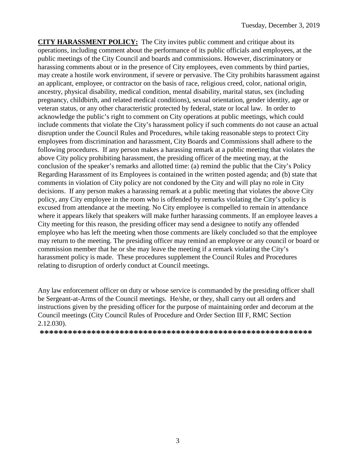**CITY HARASSMENT POLICY:** The City invites public comment and critique about its operations, including comment about the performance of its public officials and employees, at the public meetings of the City Council and boards and commissions. However, discriminatory or harassing comments about or in the presence of City employees, even comments by third parties, may create a hostile work environment, if severe or pervasive. The City prohibits harassment against an applicant, employee, or contractor on the basis of race, religious creed, color, national origin, ancestry, physical disability, medical condition, mental disability, marital status, sex (including pregnancy, childbirth, and related medical conditions), sexual orientation, gender identity, age or veteran status, or any other characteristic protected by federal, state or local law. In order to acknowledge the public's right to comment on City operations at public meetings, which could include comments that violate the City's harassment policy if such comments do not cause an actual disruption under the Council Rules and Procedures, while taking reasonable steps to protect City employees from discrimination and harassment, City Boards and Commissions shall adhere to the following procedures. If any person makes a harassing remark at a public meeting that violates the above City policy prohibiting harassment, the presiding officer of the meeting may, at the conclusion of the speaker's remarks and allotted time: (a) remind the public that the City's Policy Regarding Harassment of its Employees is contained in the written posted agenda; and (b) state that comments in violation of City policy are not condoned by the City and will play no role in City decisions. If any person makes a harassing remark at a public meeting that violates the above City policy, any City employee in the room who is offended by remarks violating the City's policy is excused from attendance at the meeting. No City employee is compelled to remain in attendance where it appears likely that speakers will make further harassing comments. If an employee leaves a City meeting for this reason, the presiding officer may send a designee to notify any offended employee who has left the meeting when those comments are likely concluded so that the employee may return to the meeting. The presiding officer may remind an employee or any council or board or commission member that he or she may leave the meeting if a remark violating the City's harassment policy is made. These procedures supplement the Council Rules and Procedures relating to disruption of orderly conduct at Council meetings.

Any law enforcement officer on duty or whose service is commanded by the presiding officer shall be Sergeant-at-Arms of the Council meetings. He/she, or they, shall carry out all orders and instructions given by the presiding officer for the purpose of maintaining order and decorum at the Council meetings (City Council Rules of Procedure and Order Section III F, RMC Section 2.12.030).

**\*\*\*\*\*\*\*\*\*\*\*\*\*\*\*\*\*\*\*\*\*\*\*\*\*\*\*\*\*\*\*\*\*\*\*\*\*\*\*\*\*\*\*\*\*\*\*\*\*\*\*\*\*\*\*\*\*\***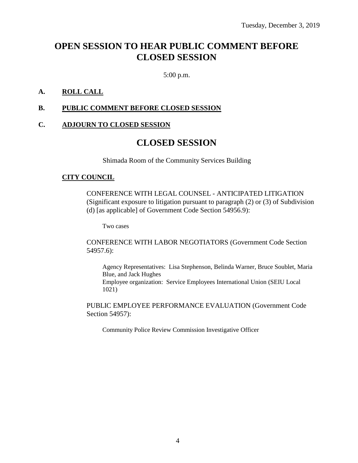# **OPEN SESSION TO HEAR PUBLIC COMMENT BEFORE CLOSED SESSION**

5:00 p.m.

### **A. ROLL CALL**

### **B. PUBLIC COMMENT BEFORE CLOSED SESSION**

#### **C. ADJOURN TO CLOSED SESSION**

### **CLOSED SESSION**

Shimada Room of the Community Services Building

#### **CITY COUNCIL**

CONFERENCE WITH LEGAL COUNSEL - ANTICIPATED LITIGATION (Significant exposure to litigation pursuant to paragraph (2) or (3) of Subdivision (d) [as applicable] of Government Code Section 54956.9):

Two cases

CONFERENCE WITH LABOR NEGOTIATORS (Government Code Section 54957.6):

Agency Representatives: Lisa Stephenson, Belinda Warner, Bruce Soublet, Maria Blue, and Jack Hughes Employee organization: Service Employees International Union (SEIU Local 1021)

PUBLIC EMPLOYEE PERFORMANCE EVALUATION (Government Code Section 54957):

Community Police Review Commission Investigative Officer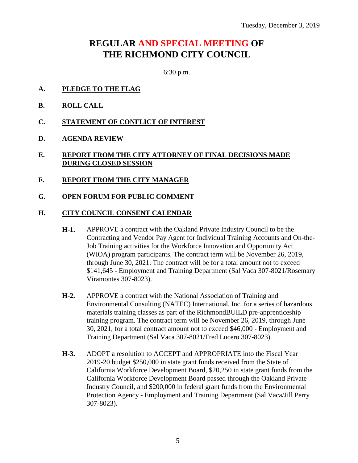# **REGULAR AND SPECIAL MEETING OF THE RICHMOND CITY COUNCIL**

6:30 p.m.

- **A. PLEDGE TO THE FLAG**
- **B. ROLL CALL**
- **C. STATEMENT OF CONFLICT OF INTEREST**
- **D. AGENDA REVIEW**
- **E. REPORT FROM THE CITY ATTORNEY OF FINAL DECISIONS MADE DURING CLOSED SESSION**
- **F. REPORT FROM THE CITY MANAGER**
- **G. OPEN FORUM FOR PUBLIC COMMENT**

#### **H. CITY COUNCIL CONSENT CALENDAR**

- **H-1.** APPROVE a contract with the Oakland Private Industry Council to be the Contracting and Vendor Pay Agent for Individual Training Accounts and On-the-Job Training activities for the Workforce Innovation and Opportunity Act (WIOA) program participants. The contract term will be November 26, 2019, through June 30, 2021. The contract will be for a total amount not to exceed \$141,645 - Employment and Training Department (Sal Vaca 307-8021/Rosemary Viramontes 307-8023).
- **H-2.** APPROVE a contract with the National Association of Training and Environmental Consulting (NATEC) International, Inc. for a series of hazardous materials training classes as part of the RichmondBUILD pre-apprenticeship training program. The contract term will be November 26, 2019, through June 30, 2021, for a total contract amount not to exceed \$46,000 - Employment and Training Department (Sal Vaca 307-8021/Fred Lucero 307-8023).
- **H-3.** ADOPT a resolution to ACCEPT and APPROPRIATE into the Fiscal Year 2019-20 budget \$250,000 in state grant funds received from the State of California Workforce Development Board, \$20,250 in state grant funds from the California Workforce Development Board passed through the Oakland Private Industry Council, and \$200,000 in federal grant funds from the Environmental Protection Agency - Employment and Training Department (Sal Vaca/Jill Perry 307-8023).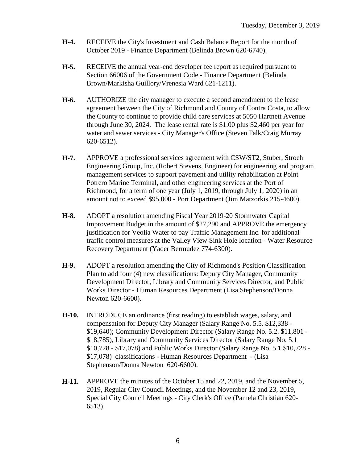- **H-4.** RECEIVE the City's Investment and Cash Balance Report for the month of October 2019 - Finance Department (Belinda Brown 620-6740).
- **H-5.** RECEIVE the annual year-end developer fee report as required pursuant to Section 66006 of the Government Code - Finance Department (Belinda Brown/Markisha Guillory/Vrenesia Ward 621-1211).
- **H-6.** AUTHORIZE the city manager to execute a second amendment to the lease agreement between the City of Richmond and County of Contra Costa, to allow the County to continue to provide child care services at 5050 Hartnett Avenue through June 30, 2024. The lease rental rate is \$1.00 plus \$2,460 per year for water and sewer services - City Manager's Office (Steven Falk/Craig Murray 620-6512).
- **H-7.** APPROVE a professional services agreement with CSW/ST2, Stuber, Stroeh Engineering Group, Inc. (Robert Stevens, Engineer) for engineering and program management services to support pavement and utility rehabilitation at Point Potrero Marine Terminal, and other engineering services at the Port of Richmond, for a term of one year (July 1, 2019, through July 1, 2020) in an amount not to exceed \$95,000 - Port Department (Jim Matzorkis 215-4600).
- **H-8.** ADOPT a resolution amending Fiscal Year 2019-20 Stormwater Capital Improvement Budget in the amount of \$27,290 and APPROVE the emergency justification for Veolia Water to pay Traffic Management Inc. for additional traffic control measures at the Valley View Sink Hole location - Water Resource Recovery Department (Yader Bermudez 774-6300).
- **H-9.** ADOPT a resolution amending the City of Richmond's Position Classification Plan to add four (4) new classifications: Deputy City Manager, Community Development Director, Library and Community Services Director, and Public Works Director - Human Resources Department (Lisa Stephenson/Donna Newton 620-6600).
- **H-10.** INTRODUCE an ordinance (first reading) to establish wages, salary, and compensation for Deputy City Manager (Salary Range No. 5.5. \$12,338 - \$19,640); Community Development Director (Salary Range No. 5.2. \$11,801 - \$18,785), Library and Community Services Director (Salary Range No. 5.1 \$10,728 - \$17,078) and Public Works Director (Salary Range No. 5.1 \$10,728 - \$17,078) classifications - Human Resources Department - (Lisa Stephenson/Donna Newton 620-6600).
- **H-11.** APPROVE the minutes of the October 15 and 22, 2019, and the November 5, 2019, Regular City Council Meetings, and the November 12 and 23, 2019, Special City Council Meetings - City Clerk's Office (Pamela Christian 620- 6513).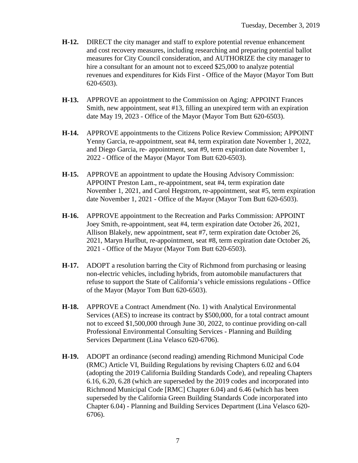- **H-12.** DIRECT the city manager and staff to explore potential revenue enhancement and cost recovery measures, including researching and preparing potential ballot measures for City Council consideration, and AUTHORIZE the city manager to hire a consultant for an amount not to exceed \$25,000 to analyze potential revenues and expenditures for Kids First - Office of the Mayor (Mayor Tom Butt 620-6503).
- **H-13.** APPROVE an appointment to the Commission on Aging: APPOINT Frances Smith, new appointment, seat #13, filling an unexpired term with an expiration date May 19, 2023 - Office of the Mayor (Mayor Tom Butt 620-6503).
- **H-14.** APPROVE appointments to the Citizens Police Review Commission; APPOINT Yenny Garcia, re-appointment, seat #4, term expiration date November 1, 2022, and Diego Garcia, re- appointment, seat #9, term expiration date November 1, 2022 - Office of the Mayor (Mayor Tom Butt 620-6503).
- **H-15.** APPROVE an appointment to update the Housing Advisory Commission: APPOINT Preston Lam., re-appointment, seat #4, term expiration date November 1, 2021, and Carol Hegstrom, re-appointment, seat #5, term expiration date November 1, 2021 - Office of the Mayor (Mayor Tom Butt 620-6503).
- **H-16.** APPROVE appointment to the Recreation and Parks Commission: APPOINT Joey Smith, re-appointment, seat #4, term expiration date October 26, 2021, Allison Blakely, new appointment, seat #7, term expiration date October 26, 2021, Maryn Hurlbut, re-appointment, seat #8, term expiration date October 26, 2021 - Office of the Mayor (Mayor Tom Butt 620-6503).
- **H-17.** ADOPT a resolution barring the City of Richmond from purchasing or leasing non-electric vehicles, including hybrids, from automobile manufacturers that refuse to support the State of California's vehicle emissions regulations - Office of the Mayor (Mayor Tom Butt 620-6503).
- **H-18.** APPROVE a Contract Amendment (No. 1) with Analytical Environmental Services (AES) to increase its contract by \$500,000, for a total contract amount not to exceed \$1,500,000 through June 30, 2022, to continue providing on-call Professional Environmental Consulting Services - Planning and Building Services Department (Lina Velasco 620-6706).
- **H-19.** ADOPT an ordinance (second reading) amending Richmond Municipal Code (RMC) Article VI, Building Regulations by revising Chapters 6.02 and 6.04 (adopting the 2019 California Building Standards Code), and repealing Chapters 6.16, 6.20, 6.28 (which are superseded by the 2019 codes and incorporated into Richmond Municipal Code [RMC] Chapter 6.04) and 6.46 (which has been superseded by the California Green Building Standards Code incorporated into Chapter 6.04) - Planning and Building Services Department (Lina Velasco 620- 6706).